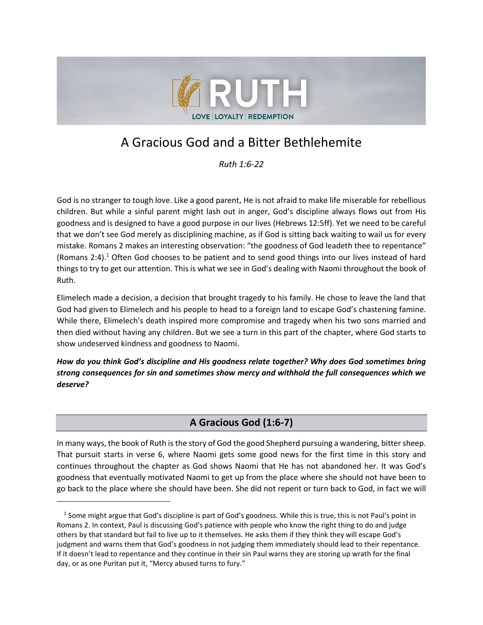

# A Gracious God and a Bitter Bethlehemite

*Ruth 1:6-22*

God is no stranger to tough love. Like a good parent, He is not afraid to make life miserable for rebellious children. But while a sinful parent might lash out in anger, God's discipline always flows out from His goodness and is designed to have a good purpose in our lives (Hebrews 12:5ff). Yet we need to be careful that we don't see God merely as disciplining machine, as if God is sitting back waiting to wail us for every mistake. Romans 2 makes an interesting observation: "the goodness of God leadeth thee to repentance" (Romans 2:4). <sup>1</sup> Often God chooses to be patient and to send good things into our lives instead of hard things to try to get our attention. This is what we see in God's dealing with Naomi throughout the book of Ruth.

Elimelech made a decision, a decision that brought tragedy to his family. He chose to leave the land that God had given to Elimelech and his people to head to a foreign land to escape God's chastening famine. While there, Elimelech's death inspired more compromise and tragedy when his two sons married and then died without having any children. But we see a turn in this part of the chapter, where God starts to show undeserved kindness and goodness to Naomi.

*How do you think God's discipline and His goodness relate together? Why does God sometimes bring strong consequences for sin and sometimes show mercy and withhold the full consequences which we deserve?*

# **A Gracious God (1:6-7)**

In many ways, the book of Ruth is the story of God the good Shepherd pursuing a wandering, bitter sheep. That pursuit starts in verse 6, where Naomi gets some good news for the first time in this story and continues throughout the chapter as God shows Naomi that He has not abandoned her. It was God's goodness that eventually motivated Naomi to get up from the place where she should not have been to go back to the place where she should have been. She did not repent or turn back to God, in fact we will

<sup>&</sup>lt;sup>1</sup> Some might argue that God's discipline is part of God's goodness. While this is true, this is not Paul's point in Romans 2. In context, Paul is discussing God's patience with people who know the right thing to do and judge others by that standard but fail to live up to it themselves. He asks them if they think they will escape God's judgment and warns them that God's goodness in not judging them immediately should lead to their repentance. If it doesn't lead to repentance and they continue in their sin Paul warns they are storing up wrath for the final day, or as one Puritan put it, "Mercy abused turns to fury."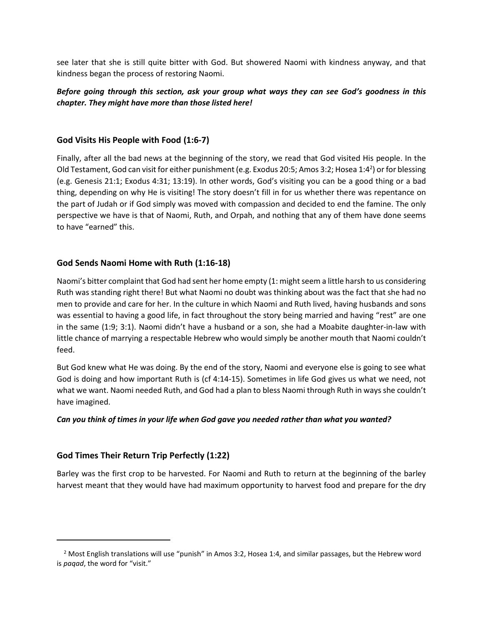see later that she is still quite bitter with God. But showered Naomi with kindness anyway, and that kindness began the process of restoring Naomi.

## *Before going through this section, ask your group what ways they can see God's goodness in this chapter. They might have more than those listed here!*

#### **God Visits His People with Food (1:6-7)**

Finally, after all the bad news at the beginning of the story, we read that God visited His people. In the Old Testament, God can visit for either punishment (e.g. Exodus 20:5; Amos 3:2; Hosea 1:4<sup>2</sup>) or for blessing (e.g. Genesis 21:1; Exodus 4:31; 13:19). In other words, God's visiting you can be a good thing or a bad thing, depending on why He is visiting! The story doesn't fill in for us whether there was repentance on the part of Judah or if God simply was moved with compassion and decided to end the famine. The only perspective we have is that of Naomi, Ruth, and Orpah, and nothing that any of them have done seems to have "earned" this.

#### **God Sends Naomi Home with Ruth (1:16-18)**

Naomi's bitter complaint that God had sent her home empty (1: might seem a little harsh to us considering Ruth was standing right there! But what Naomi no doubt was thinking about was the fact that she had no men to provide and care for her. In the culture in which Naomi and Ruth lived, having husbands and sons was essential to having a good life, in fact throughout the story being married and having "rest" are one in the same (1:9; 3:1). Naomi didn't have a husband or a son, she had a Moabite daughter-in-law with little chance of marrying a respectable Hebrew who would simply be another mouth that Naomi couldn't feed.

But God knew what He was doing. By the end of the story, Naomi and everyone else is going to see what God is doing and how important Ruth is (cf 4:14-15). Sometimes in life God gives us what we need, not what we want. Naomi needed Ruth, and God had a plan to bless Naomi through Ruth in ways she couldn't have imagined.

#### *Can you think of times in your life when God gave you needed rather than what you wanted?*

#### **God Times Their Return Trip Perfectly (1:22)**

Barley was the first crop to be harvested. For Naomi and Ruth to return at the beginning of the barley harvest meant that they would have had maximum opportunity to harvest food and prepare for the dry

<sup>&</sup>lt;sup>2</sup> Most English translations will use "punish" in Amos 3:2, Hosea 1:4, and similar passages, but the Hebrew word is *paqad*, the word for "visit."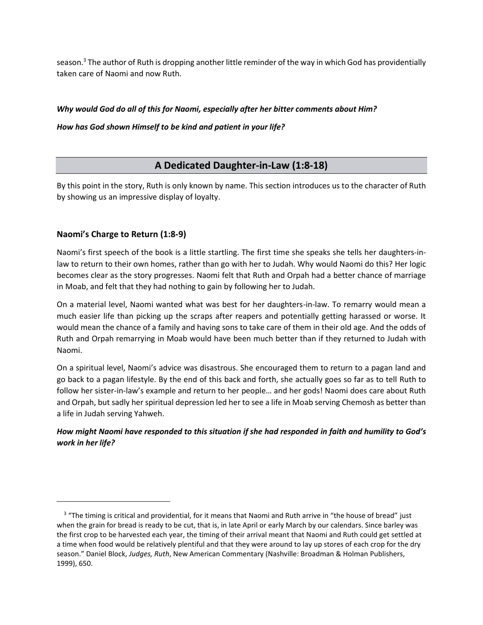season. $3$  The author of Ruth is dropping another little reminder of the way in which God has providentially taken care of Naomi and now Ruth.

#### *Why would God do all of this for Naomi, especially after her bitter comments about Him?*

*How has God shown Himself to be kind and patient in your life?*

# **A Dedicated Daughter-in-Law (1:8-18)**

By this point in the story, Ruth is only known by name. This section introduces us to the character of Ruth by showing us an impressive display of loyalty.

## **Naomi's Charge to Return (1:8-9)**

Naomi's first speech of the book is a little startling. The first time she speaks she tells her daughters-inlaw to return to their own homes, rather than go with her to Judah. Why would Naomi do this? Her logic becomes clear as the story progresses. Naomi felt that Ruth and Orpah had a better chance of marriage in Moab, and felt that they had nothing to gain by following her to Judah.

On a material level, Naomi wanted what was best for her daughters-in-law. To remarry would mean a much easier life than picking up the scraps after reapers and potentially getting harassed or worse. It would mean the chance of a family and having sons to take care of them in their old age. And the odds of Ruth and Orpah remarrying in Moab would have been much better than if they returned to Judah with Naomi.

On a spiritual level, Naomi's advice was disastrous. She encouraged them to return to a pagan land and go back to a pagan lifestyle. By the end of this back and forth, she actually goes so far as to tell Ruth to follow her sister-in-law's example and return to her people… and her gods! Naomi does care about Ruth and Orpah, but sadly her spiritual depression led her to see a life in Moab serving Chemosh as better than a life in Judah serving Yahweh.

# *How might Naomi have responded to this situation if she had responded in faith and humility to God's work in her life?*

<sup>3</sup> "The timing is critical and providential, for it means that Naomi and Ruth arrive in "the house of bread" just when the grain for bread is ready to be cut, that is, in late April or early March by our calendars. Since barley was the first crop to be harvested each year, the timing of their arrival meant that Naomi and Ruth could get settled at a time when food would be relatively plentiful and that they were around to lay up stores of each crop for the dry season." Daniel Block, *Judges, Ruth*, New American Commentary (Nashville: Broadman & Holman Publishers, 1999), 650.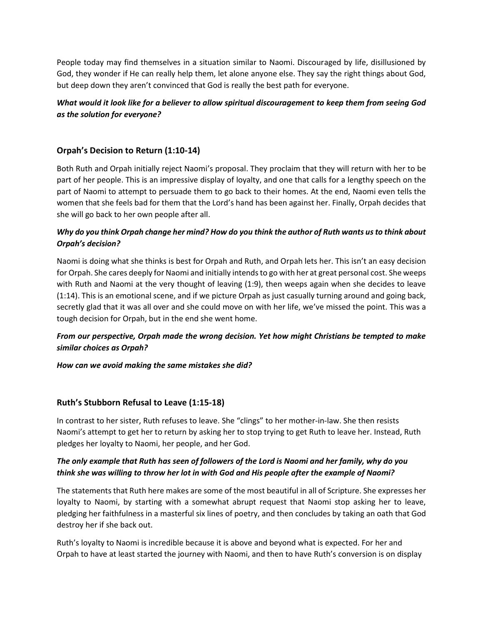People today may find themselves in a situation similar to Naomi. Discouraged by life, disillusioned by God, they wonder if He can really help them, let alone anyone else. They say the right things about God, but deep down they aren't convinced that God is really the best path for everyone.

## *What would it look like for a believer to allow spiritual discouragement to keep them from seeing God as the solution for everyone?*

## **Orpah's Decision to Return (1:10-14)**

Both Ruth and Orpah initially reject Naomi's proposal. They proclaim that they will return with her to be part of her people. This is an impressive display of loyalty, and one that calls for a lengthy speech on the part of Naomi to attempt to persuade them to go back to their homes. At the end, Naomi even tells the women that she feels bad for them that the Lord's hand has been against her. Finally, Orpah decides that she will go back to her own people after all.

## *Why do you think Orpah change her mind? How do you think the author of Ruth wants us to think about Orpah's decision?*

Naomi is doing what she thinks is best for Orpah and Ruth, and Orpah lets her. This isn't an easy decision for Orpah. She cares deeply for Naomi and initially intends to go with her at great personal cost. She weeps with Ruth and Naomi at the very thought of leaving (1:9), then weeps again when she decides to leave (1:14). This is an emotional scene, and if we picture Orpah as just casually turning around and going back, secretly glad that it was all over and she could move on with her life, we've missed the point. This was a tough decision for Orpah, but in the end she went home.

## *From our perspective, Orpah made the wrong decision. Yet how might Christians be tempted to make similar choices as Orpah?*

#### *How can we avoid making the same mistakes she did?*

#### **Ruth's Stubborn Refusal to Leave (1:15-18)**

In contrast to her sister, Ruth refuses to leave. She "clings" to her mother-in-law. She then resists Naomi's attempt to get her to return by asking her to stop trying to get Ruth to leave her. Instead, Ruth pledges her loyalty to Naomi, her people, and her God.

#### *The only example that Ruth has seen of followers of the Lord is Naomi and her family, why do you think she was willing to throw her lot in with God and His people after the example of Naomi?*

The statements that Ruth here makes are some of the most beautiful in all of Scripture. She expresses her loyalty to Naomi, by starting with a somewhat abrupt request that Naomi stop asking her to leave, pledging her faithfulness in a masterful six lines of poetry, and then concludes by taking an oath that God destroy her if she back out.

Ruth's loyalty to Naomi is incredible because it is above and beyond what is expected. For her and Orpah to have at least started the journey with Naomi, and then to have Ruth's conversion is on display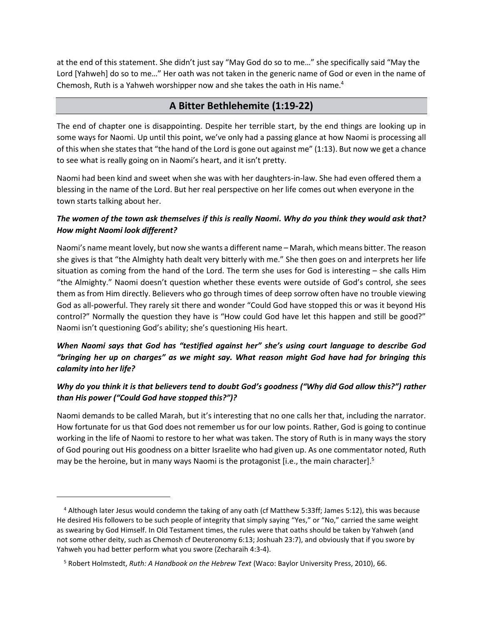at the end of this statement. She didn't just say "May God do so to me…" she specifically said "May the Lord [Yahweh] do so to me…" Her oath was not taken in the generic name of God or even in the name of Chemosh, Ruth is a Yahweh worshipper now and she takes the oath in His name.<sup>4</sup>

# **A Bitter Bethlehemite (1:19-22)**

The end of chapter one is disappointing. Despite her terrible start, by the end things are looking up in some ways for Naomi. Up until this point, we've only had a passing glance at how Naomi is processing all of this when she states that "the hand of the Lord is gone out against me" (1:13). But now we get a chance to see what is really going on in Naomi's heart, and it isn't pretty.

Naomi had been kind and sweet when she was with her daughters-in-law. She had even offered them a blessing in the name of the Lord. But her real perspective on her life comes out when everyone in the town starts talking about her.

# *The women of the town ask themselves if this is really Naomi. Why do you think they would ask that? How might Naomi look different?*

Naomi's name meant lovely, but now she wants a different name – Marah, which means bitter. The reason she gives is that "the Almighty hath dealt very bitterly with me." She then goes on and interprets her life situation as coming from the hand of the Lord. The term she uses for God is interesting – she calls Him "the Almighty." Naomi doesn't question whether these events were outside of God's control, she sees them as from Him directly. Believers who go through times of deep sorrow often have no trouble viewing God as all-powerful. They rarely sit there and wonder "Could God have stopped this or was it beyond His control?" Normally the question they have is "How could God have let this happen and still be good?" Naomi isn't questioning God's ability; she's questioning His heart.

# *When Naomi says that God has "testified against her" she's using court language to describe God "bringing her up on charges" as we might say. What reason might God have had for bringing this calamity into her life?*

# *Why do you think it is that believers tend to doubt God's goodness ("Why did God allow this?") rather than His power ("Could God have stopped this?")?*

Naomi demands to be called Marah, but it's interesting that no one calls her that, including the narrator. How fortunate for us that God does not remember us for our low points. Rather, God is going to continue working in the life of Naomi to restore to her what was taken. The story of Ruth is in many ways the story of God pouring out His goodness on a bitter Israelite who had given up. As one commentator noted, Ruth may be the heroine, but in many ways Naomi is the protagonist [i.e., the main character].<sup>5</sup>

<sup>4</sup> Although later Jesus would condemn the taking of any oath (cf Matthew 5:33ff; James 5:12), this was because He desired His followers to be such people of integrity that simply saying "Yes," or "No," carried the same weight as swearing by God Himself. In Old Testament times, the rules were that oaths should be taken by Yahweh (and not some other deity, such as Chemosh cf Deuteronomy 6:13; Joshuah 23:7), and obviously that if you swore by Yahweh you had better perform what you swore (Zecharaih 4:3-4).

<sup>5</sup> Robert Holmstedt, *Ruth: A Handbook on the Hebrew Text* (Waco: Baylor University Press, 2010), 66.